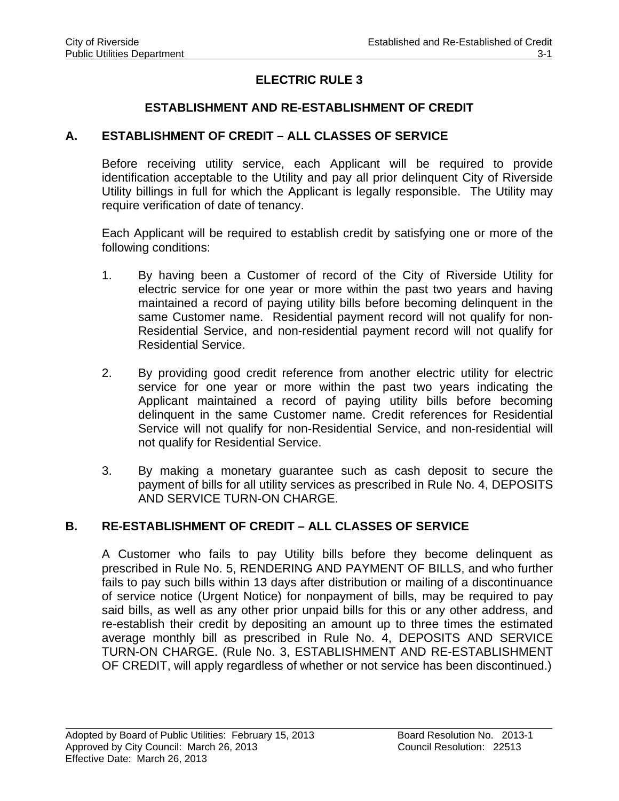# **ELECTRIC RULE 3**

## **ESTABLISHMENT AND RE-ESTABLISHMENT OF CREDIT**

#### **A. ESTABLISHMENT OF CREDIT – ALL CLASSES OF SERVICE**

Before receiving utility service, each Applicant will be required to provide identification acceptable to the Utility and pay all prior delinquent City of Riverside Utility billings in full for which the Applicant is legally responsible. The Utility may require verification of date of tenancy.

Each Applicant will be required to establish credit by satisfying one or more of the following conditions:

- 1. By having been a Customer of record of the City of Riverside Utility for electric service for one year or more within the past two years and having maintained a record of paying utility bills before becoming delinquent in the same Customer name. Residential payment record will not qualify for non-Residential Service, and non-residential payment record will not qualify for Residential Service.
- 2. By providing good credit reference from another electric utility for electric service for one year or more within the past two years indicating the Applicant maintained a record of paying utility bills before becoming delinquent in the same Customer name. Credit references for Residential Service will not qualify for non-Residential Service, and non-residential will not qualify for Residential Service.
- 3. By making a monetary guarantee such as cash deposit to secure the payment of bills for all utility services as prescribed in Rule No. 4, DEPOSITS AND SERVICE TURN-ON CHARGE.

#### **B. RE-ESTABLISHMENT OF CREDIT – ALL CLASSES OF SERVICE**

A Customer who fails to pay Utility bills before they become delinquent as prescribed in Rule No. 5, RENDERING AND PAYMENT OF BILLS, and who further fails to pay such bills within 13 days after distribution or mailing of a discontinuance of service notice (Urgent Notice) for nonpayment of bills, may be required to pay said bills, as well as any other prior unpaid bills for this or any other address, and re-establish their credit by depositing an amount up to three times the estimated average monthly bill as prescribed in Rule No. 4, DEPOSITS AND SERVICE TURN-ON CHARGE. (Rule No. 3, ESTABLISHMENT AND RE-ESTABLISHMENT OF CREDIT, will apply regardless of whether or not service has been discontinued.)

 $\overline{a}$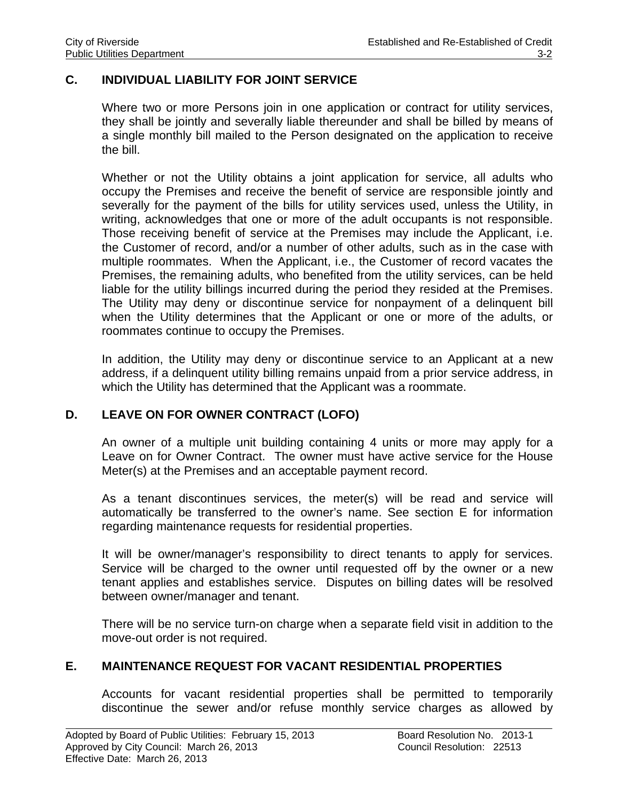### **C. INDIVIDUAL LIABILITY FOR JOINT SERVICE**

Where two or more Persons join in one application or contract for utility services, they shall be jointly and severally liable thereunder and shall be billed by means of a single monthly bill mailed to the Person designated on the application to receive the bill.

Whether or not the Utility obtains a joint application for service, all adults who occupy the Premises and receive the benefit of service are responsible jointly and severally for the payment of the bills for utility services used, unless the Utility, in writing, acknowledges that one or more of the adult occupants is not responsible. Those receiving benefit of service at the Premises may include the Applicant, i.e. the Customer of record, and/or a number of other adults, such as in the case with multiple roommates. When the Applicant, i.e., the Customer of record vacates the Premises, the remaining adults, who benefited from the utility services, can be held liable for the utility billings incurred during the period they resided at the Premises. The Utility may deny or discontinue service for nonpayment of a delinquent bill when the Utility determines that the Applicant or one or more of the adults, or roommates continue to occupy the Premises.

In addition, the Utility may deny or discontinue service to an Applicant at a new address, if a delinquent utility billing remains unpaid from a prior service address, in which the Utility has determined that the Applicant was a roommate.

#### **D. LEAVE ON FOR OWNER CONTRACT (LOFO)**

An owner of a multiple unit building containing 4 units or more may apply for a Leave on for Owner Contract. The owner must have active service for the House Meter(s) at the Premises and an acceptable payment record.

As a tenant discontinues services, the meter(s) will be read and service will automatically be transferred to the owner's name. See section E for information regarding maintenance requests for residential properties.

It will be owner/manager's responsibility to direct tenants to apply for services. Service will be charged to the owner until requested off by the owner or a new tenant applies and establishes service. Disputes on billing dates will be resolved between owner/manager and tenant.

There will be no service turn-on charge when a separate field visit in addition to the move-out order is not required.

#### **E. MAINTENANCE REQUEST FOR VACANT RESIDENTIAL PROPERTIES**

Accounts for vacant residential properties shall be permitted to temporarily discontinue the sewer and/or refuse monthly service charges as allowed by